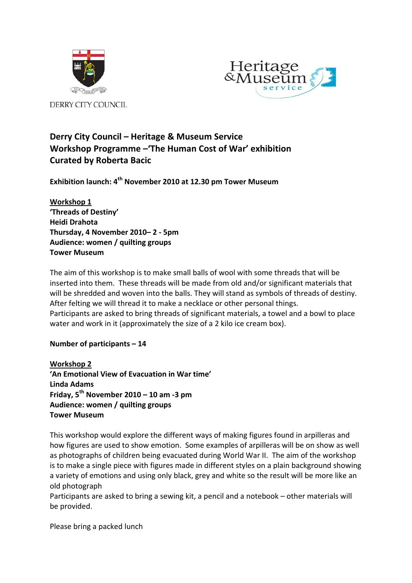



 $\mathbf{r} = \mathbf{r} \cdot \mathbf{r}$ 

# **Derry City Council – Heritage & Museum Service Workshop Programme –'The Human Cost of War' exhibition Curated by Roberta Bacic**

**Exhibition launch: 4th November 2010 at 12.30 pm Tower Museum**

**Workshop 1 'Threads of Destiny' Heidi Drahota Thursday, 4 November 2010– 2 ‐ 5pm Audience: women / quilting groups Tower Museum**

The aim of this workshop is to make small balls of wool with some threads that will be inserted into them. These threads will be made from old and/or significant materials that will be shredded and woven into the balls. They will stand as symbols of threads of destiny. After felting we will thread it to make a necklace or other personal things. Participants are asked to bring threads of significant materials, a towel and a bowl to place water and work in it (approximately the size of a 2 kilo ice cream box).

# **Number of participants – 14**

**Workshop 2 'An Emotional View of Evacuation in War time' Linda Adams Friday, 5th November 2010 – 10 am ‐3 pm Audience: women / quilting groups Tower Museum**

This workshop would explore the different ways of making figures found in arpilleras and how figures are used to show emotion. Some examples of arpilleras will be on show as well as photographs of children being evacuated during World War II. The aim of the workshop is to make a single piece with figures made in different styles on a plain background showing a variety of emotions and using only black, grey and white so the result will be more like an old photograph

Participants are asked to bring a sewing kit, a pencil and a notebook – other materials will be provided.

Please bring a packed lunch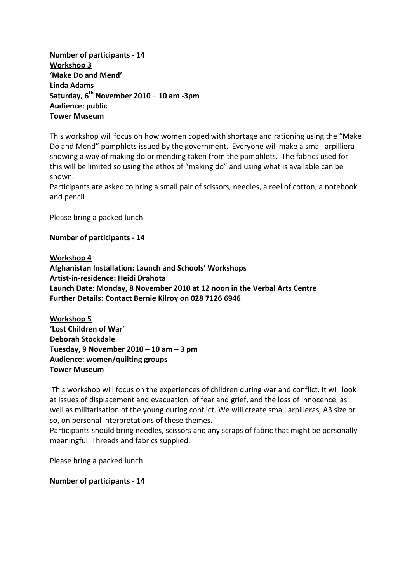**Number of participants ‐ 14 Workshop 3 'Make Do and Mend' Linda Adams Saturday, 6th November 2010 – 10 am ‐3pm Audience: public Tower Museum**

This workshop will focus on how women coped with shortage and rationing using the "Make Do and Mend" pamphlets issued by the government. Everyone will make a small arpilliera showing a way of making do or mending taken from the pamphlets. The fabrics used for this will be limited so using the ethos of "making do" and using what is available can be shown.

Participants are asked to bring a small pair of scissors, needles, a reel of cotton, a notebook and pencil

Please bring a packed lunch

#### **Number of participants ‐ 14**

**Workshop 4**

**Afghanistan Installation: Launch and Schools' Workshops Artist‐in‐residence: Heidi Drahota Launch Date: Monday, 8 November 2010 at 12 noon in the Verbal Arts Centre Further Details: Contact Bernie Kilroy on 028 7126 6946**

**Workshop 5 'Lost Children of War' Deborah Stockdale Tuesday, 9 November 2010 – 10 am – 3 pm Audience: women/quilting groups Tower Museum**

This workshop will focus on the experiences of children during war and conflict. It will look at issues of displacement and evacuation, of fear and grief, and the loss of innocence, as well as militarisation of the young during conflict. We will create small arpilleras, A3 size or so, on personal interpretations of these themes.

Participants should bring needles, scissors and any scraps of fabric that might be personally meaningful. Threads and fabrics supplied.

Please bring a packed lunch

**Number of participants ‐ 14**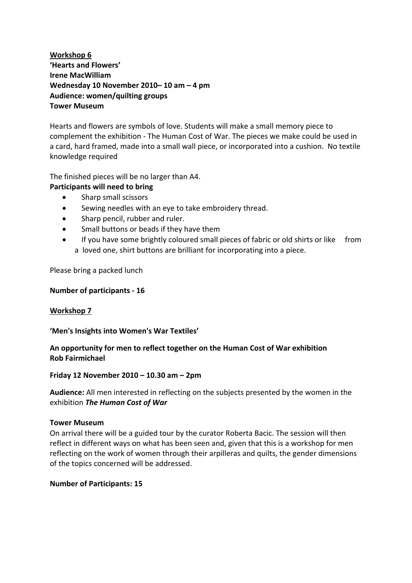# **Workshop 6 'Hearts and Flowers' Irene MacWilliam Wednesday 10 November 2010– 10 am – 4 pm Audience: women/quilting groups Tower Museum**

Hearts and flowers are symbols of love. Students will make a small memory piece to complement the exhibition ‐ The Human Cost of War. The pieces we make could be used in a card, hard framed, made into a small wall piece, or incorporated into a cushion. No textile knowledge required

The finished pieces will be no larger than A4.

# **Participants will need to bring**

- Sharp small scissors
- Sewing needles with an eye to take embroidery thread.
- Sharp pencil, rubber and ruler.
- Small buttons or beads if they have them
- If you have some brightly coloured small pieces of fabric or old shirts or like from a loved one, shirt buttons are brilliant for incorporating into a piece.

Please bring a packed lunch

## **Number of participants ‐ 16**

### **Workshop 7**

### **'Men's Insights into Women's War Textiles'**

# **An opportunity for men to reflect together on the Human Cost of War exhibition Rob Fairmichael**

## **Friday 12 November 2010 – 10.30 am – 2pm**

**Audience:** All men interested in reflecting on the subjects presented by the women in the exhibition *The Human Cost of War*

### **Tower Museum**

On arrival there will be a guided tour by the curator Roberta Bacic. The session will then reflect in different ways on what has been seen and, given that this is a workshop for men reflecting on the work of women through their arpilleras and quilts, the gender dimensions of the topics concerned will be addressed.

### **Number of Participants: 15**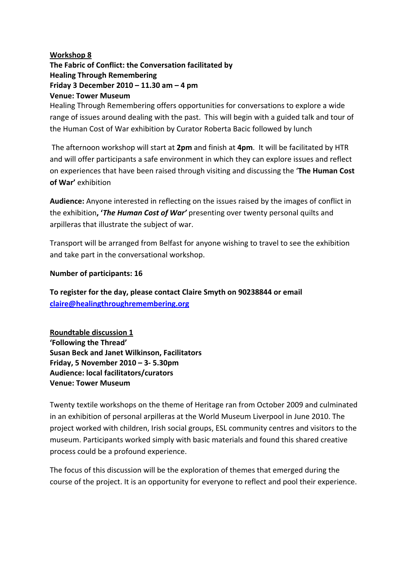## **Workshop 8**

**The Fabric of Conflict: the Conversation facilitated by Healing Through Remembering Friday 3 December 2010 – 11.30 am – 4 pm Venue: Tower Museum**

Healing Through Remembering offers opportunities for conversations to explore a wide range of issues around dealing with the past. This will begin with a guided talk and tour of the Human Cost of War exhibition by Curator Roberta Bacic followed by lunch

The afternoon workshop will start at **2pm** and finish at **4pm**. It will be facilitated by HTR and will offer participants a safe environment in which they can explore issues and reflect on experiences that have been raised through visiting and discussing the '**The Human Cost of War'** exhibition

**Audience:** Anyone interested in reflecting on the issues raised by the images of conflict in the exhibition**, '***The Human Cost of War'* presenting over twenty personal quilts and arpilleras that illustrate the subject of war.

Transport will be arranged from Belfast for anyone wishing to travel to see the exhibition and take part in the conversational workshop.

## **Number of participants: 16**

**To register for the day, please contact Claire Smyth on 90238844 or email [claire@healingthroughremembering.org](mailto:claire@healingthroughremembering.org)** 

**Roundtable discussion 1 'Following the Thread' Susan Beck and Janet Wilkinson, Facilitators Friday, 5 November 2010 – 3‐ 5.30pm Audience: local facilitators/curators Venue: Tower Museum**

Twenty textile workshops on the theme of Heritage ran from October 2009 and culminated in an exhibition of personal arpilleras at the World Museum Liverpool in June 2010. The project worked with children, Irish social groups, ESL community centres and visitors to the museum. Participants worked simply with basic materials and found this shared creative process could be a profound experience.

The focus of this discussion will be the exploration of themes that emerged during the course of the project. It is an opportunity for everyone to reflect and pool their experience.